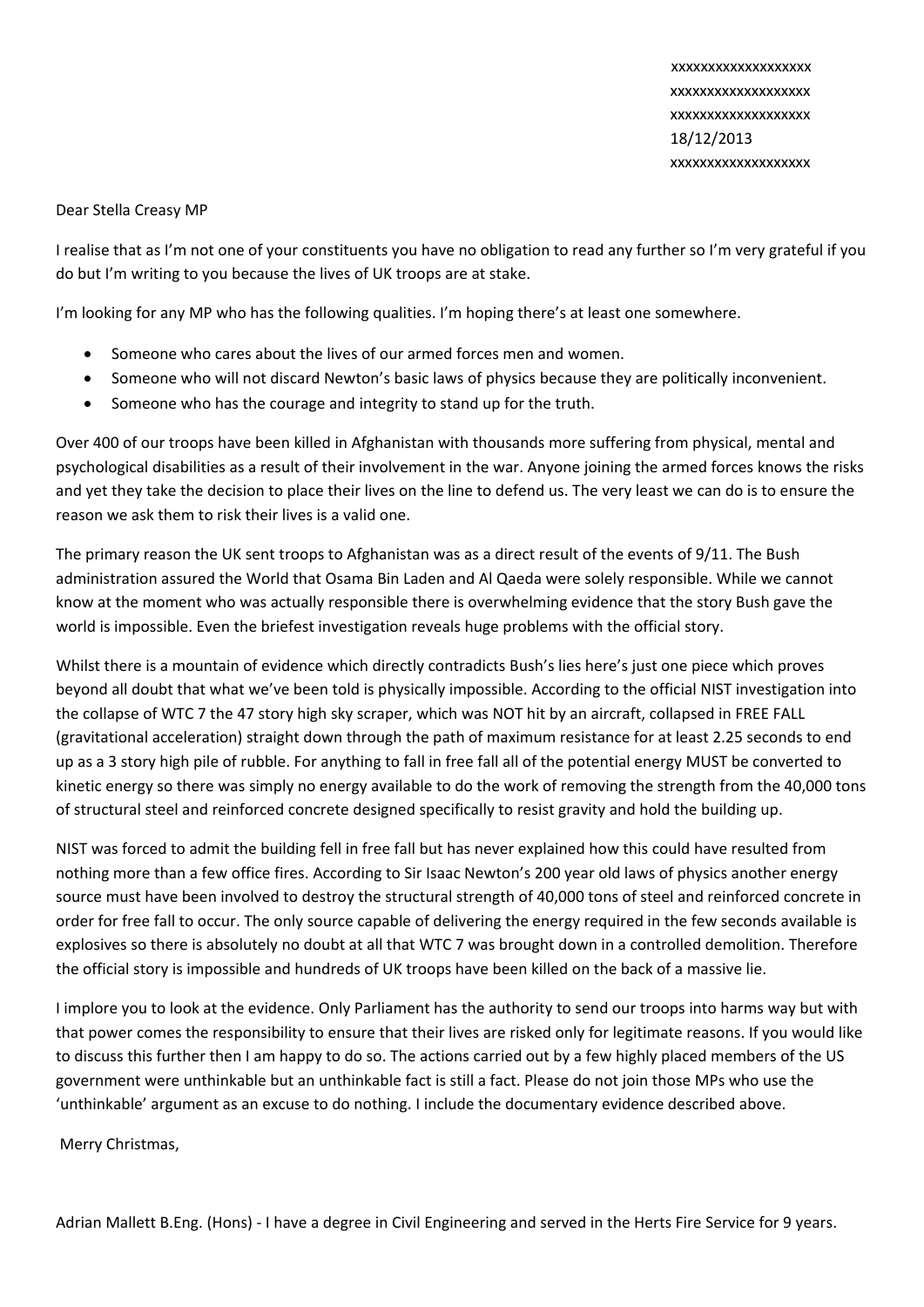xxxxxxxxxxxxxxxxxxx xxxxxxxxxxxxxxxxxxx xxxxxxxxxxxxxxxxxxx 18/12/2013 xxxxxxxxxxxxxxxxxxx

## Dear Stella Creasy MP

I realise that as I'm not one of your constituents you have no obligation to read any further so I'm very grateful if you do but I'm writing to you because the lives of UK troops are at stake.

I'm looking for any MP who has the following qualities. I'm hoping there's at least one somewhere.

- Someone who cares about the lives of our armed forces men and women.
- Someone who will not discard Newton's basic laws of physics because they are politically inconvenient.
- Someone who has the courage and integrity to stand up for the truth.

Over 400 of our troops have been killed in Afghanistan with thousands more suffering from physical, mental and psychological disabilities as a result of their involvement in the war. Anyone joining the armed forces knows the risks and yet they take the decision to place their lives on the line to defend us. The very least we can do is to ensure the reason we ask them to risk their lives is a valid one.

The primary reason the UK sent troops to Afghanistan was as a direct result of the events of 9/11. The Bush administration assured the World that Osama Bin Laden and Al Qaeda were solely responsible. While we cannot know at the moment who was actually responsible there is overwhelming evidence that the story Bush gave the world is impossible. Even the briefest investigation reveals huge problems with the official story.

Whilst there is a mountain of evidence which directly contradicts Bush's lies here's just one piece which proves beyond all doubt that what we've been told is physically impossible. According to the official NIST investigation into the collapse of WTC 7 the 47 story high sky scraper, which was NOT hit by an aircraft, collapsed in FREE FALL (gravitational acceleration) straight down through the path of maximum resistance for at least 2.25 seconds to end up as a 3 story high pile of rubble. For anything to fall in free fall all of the potential energy MUST be converted to kinetic energy so there was simply no energy available to do the work of removing the strength from the 40,000 tons of structural steel and reinforced concrete designed specifically to resist gravity and hold the building up.

NIST was forced to admit the building fell in free fall but has never explained how this could have resulted from nothing more than a few office fires. According to Sir Isaac Newton's 200 year old laws of physics another energy source must have been involved to destroy the structural strength of 40,000 tons of steel and reinforced concrete in order for free fall to occur. The only source capable of delivering the energy required in the few seconds available is explosives so there is absolutely no doubt at all that WTC 7 was brought down in a controlled demolition. Therefore the official story is impossible and hundreds of UK troops have been killed on the back of a massive lie.

I implore you to look at the evidence. Only Parliament has the authority to send our troops into harms way but with that power comes the responsibility to ensure that their lives are risked only for legitimate reasons. If you would like to discuss this further then I am happy to do so. The actions carried out by a few highly placed members of the US government were unthinkable but an unthinkable fact is still a fact. Please do not join those MPs who use the 'unthinkable' argument as an excuse to do nothing. I include the documentary evidence described above.

Merry Christmas,

Adrian Mallett B.Eng. (Hons) ‐ I have a degree in Civil Engineering and served in the Herts Fire Service for 9 years.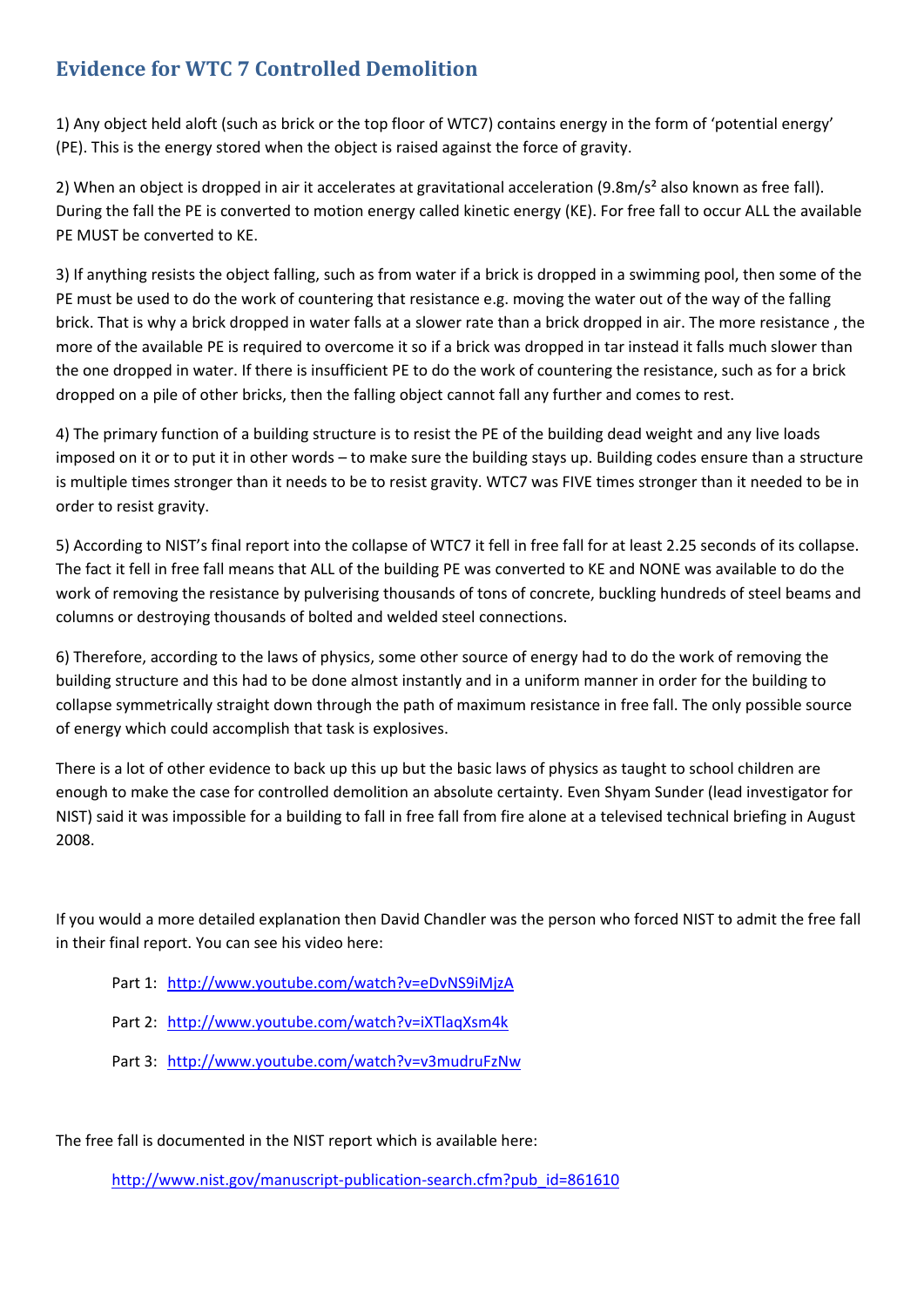## **Evidence for WTC 7 Controlled Demolition**

1) Any object held aloft (such as brick or the top floor of WTC7) contains energy in the form of 'potential energy' (PE). This is the energy stored when the object is raised against the force of gravity.

2) When an object is dropped in air it accelerates at gravitational acceleration (9.8m/s<sup>2</sup> also known as free fall). During the fall the PE is converted to motion energy called kinetic energy (KE). For free fall to occur ALL the available PE MUST be converted to KE.

3) If anything resists the object falling, such as from water if a brick is dropped in a swimming pool, then some of the PE must be used to do the work of countering that resistance e.g. moving the water out of the way of the falling brick. That is why a brick dropped in water falls at a slower rate than a brick dropped in air. The more resistance , the more of the available PE is required to overcome it so if a brick was dropped in tar instead it falls much slower than the one dropped in water. If there is insufficient PE to do the work of countering the resistance, such as for a brick dropped on a pile of other bricks, then the falling object cannot fall any further and comes to rest.

4) The primary function of a building structure is to resist the PE of the building dead weight and any live loads imposed on it or to put it in other words – to make sure the building stays up. Building codes ensure than a structure is multiple times stronger than it needs to be to resist gravity. WTC7 was FIVE times stronger than it needed to be in order to resist gravity.

5) According to NIST's final report into the collapse of WTC7 it fell in free fall for at least 2.25 seconds of its collapse. The fact it fell in free fall means that ALL of the building PE was converted to KE and NONE was available to do the work of removing the resistance by pulverising thousands of tons of concrete, buckling hundreds of steel beams and columns or destroying thousands of bolted and welded steel connections.

6) Therefore, according to the laws of physics, some other source of energy had to do the work of removing the building structure and this had to be done almost instantly and in a uniform manner in order for the building to collapse symmetrically straight down through the path of maximum resistance in free fall. The only possible source of energy which could accomplish that task is explosives.

There is a lot of other evidence to back up this up but the basic laws of physics as taught to school children are enough to make the case for controlled demolition an absolute certainty. Even Shyam Sunder (lead investigator for NIST) said it was impossible for a building to fall in free fall from fire alone at a televised technical briefing in August 2008.

If you would a more detailed explanation then David Chandler was the person who forced NIST to admit the free fall in their final report. You can see his video here:

- Part 1: http://www.youtube.com/watch?v=eDvNS9iMjzA
- Part 2: http://www.youtube.com/watch?v=iXTlaqXsm4k
- Part 3: http://www.youtube.com/watch?v=v3mudruFzNw

The free fall is documented in the NIST report which is available here:

http://www.nist.gov/manuscript-publication-search.cfm?pub\_id=861610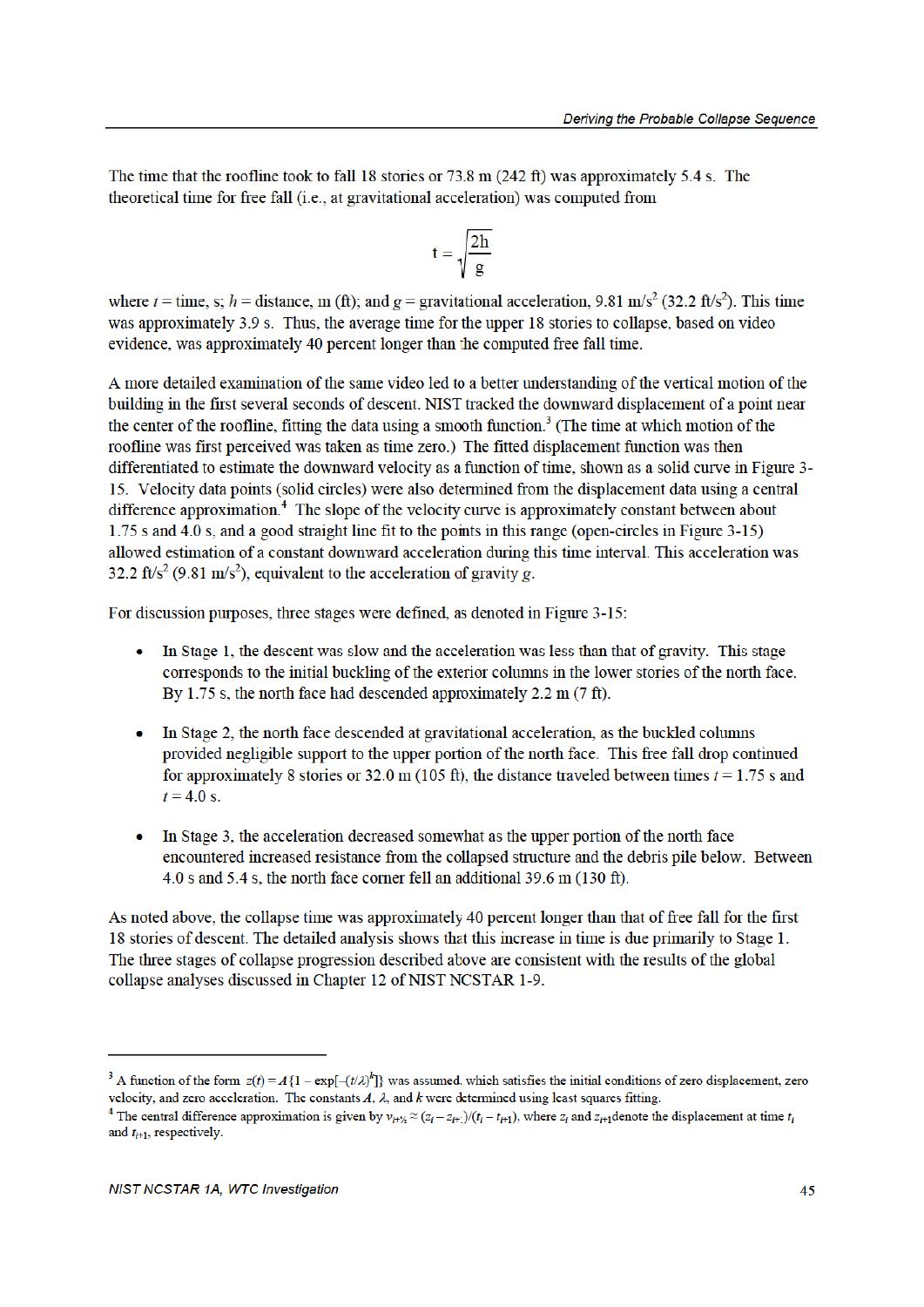The time that the roofline took to fall 18 stories or 73.8 m  $(242 \text{ ft})$  was approximately 5.4 s. The theoretical time for free fall (i.e., at gravitational acceleration) was computed from

$$
t = \sqrt{\frac{2h}{g}}
$$

where  $t =$  time, s;  $h =$  distance, m (ft); and  $g =$  gravitational acceleration, 9.81 m/s<sup>2</sup> (32.2 ft/s<sup>2</sup>). This time was approximately 3.9 s. Thus, the average time for the upper 18 stories to collapse, based on video evidence, was approximately 40 percent longer than the computed free fall time.

A more detailed examination of the same video led to a better understanding of the vertical motion of the building in the first several seconds of descent. NIST tracked the downward displacement of a point near the center of the roofline, fitting the data using a smooth function.<sup>3</sup> (The time at which motion of the roofline was first perceived was taken as time zero.) The fitted displacement function was then differentiated to estimate the downward velocity as a function of time, shown as a solid curve in Figure 3-15. Velocity data points (solid circles) were also determined from the displacement data using a central difference approximation.<sup>4</sup> The slope of the velocity curve is approximately constant between about 1.75 s and 4.0 s, and a good straight line fit to the points in this range (open-circles in Figure 3-15) allowed estimation of a constant downward acceleration during this time interval. This acceleration was 32.2 ft/s<sup>2</sup> (9.81 m/s<sup>2</sup>), equivalent to the acceleration of gravity g.

For discussion purposes, three stages were defined, as denoted in Figure 3-15:

- In Stage 1, the descent was slow and the acceleration was less than that of gravity. This stage corresponds to the initial buckling of the exterior columns in the lower stories of the north face. By 1.75 s, the north face had descended approximately  $2.2 \text{ m}$  (7 ft).
- In Stage 2, the north face descended at gravitational acceleration, as the buckled columns provided negligible support to the upper portion of the north face. This free fall drop continued for approximately 8 stories or 32.0 m (105 ft), the distance traveled between times  $t = 1.75$  s and  $t = 4.0$  s.
- In Stage 3, the acceleration decreased somewhat as the upper portion of the north face encountered increased resistance from the collapsed structure and the debris pile below. Between 4.0 s and 5.4 s, the north face corner fell an additional 39.6 m (130 ft).

As noted above, the collapse time was approximately 40 percent longer than that of free fall for the first 18 stories of descent. The detailed analysis shows that this increase in time is due primarily to Stage 1. The three stages of collapse progression described above are consistent with the results of the global collapse analyses discussed in Chapter 12 of NIST NCSTAR 1-9.

<sup>&</sup>lt;sup>3</sup> A function of the form  $z(t) = A\{1 - \exp[-(t/\lambda)^k]\}$  was assumed, which satisfies the initial conditions of zero displacement, zero velocity, and zero acceleration. The constants A,  $\lambda$ , and k were determined using least squares fitting.

<sup>&</sup>lt;sup>4</sup> The central difference approximation is given by  $v_{i+\frac{1}{2}} \approx (z_i - z_{i+1})/(t_i - t_{i+1})$ , where  $z_i$  and  $z_{i+1}$  denote the displacement at time  $t_i$ and  $t_{i+1}$ , respectively.